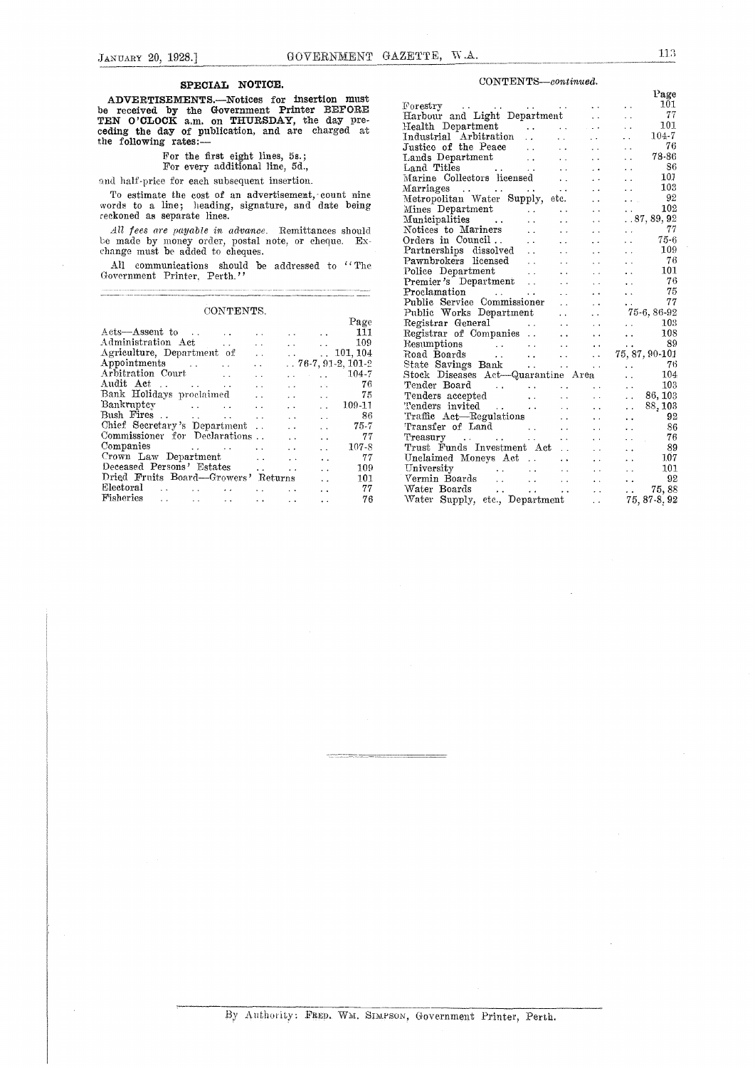#### SPECIAL NOTICE.

## For the first eight lines, 5s.; For every additional line, 5d.,

|                                                     |                                           |                                                 |                      | Page                  |
|-----------------------------------------------------|-------------------------------------------|-------------------------------------------------|----------------------|-----------------------|
| Acts-Assent to<br><b>Contract Contract Contract</b> |                                           |                                                 |                      | 111                   |
| Administration Act<br>$\ddot{\phantom{0}}$          | $\ddot{\phantom{0}}$                      |                                                 | and the state of     | -109                  |
| Agriculture, Department of                          | $\ddot{\phantom{0}}$                      |                                                 |                      | $\ldots$ 101, 104     |
| Appointments<br><b>Contract Contract</b>            | $\ddot{\phantom{0}}$                      |                                                 |                      | $. 76-7, 91-2, 101-2$ |
| Arbitration Court                                   |                                           | $\sim 100$ km s $^{-1}$<br>$\ddot{\phantom{a}}$ | and the con-         | $104 - 7$             |
| Audit Act<br>and the company of the                 | $\ddot{\phantom{a}}$                      | and the state                                   |                      | 76                    |
| Bank Holidays proclaimed                            | $\ddot{\phantom{0}}$                      | <b>Common</b>                                   | $\sim$ $\sim$        | 75                    |
| Bankruptcy                                          | $\ddot{\phantom{a}}$                      | $\cdot$ $\cdot$                                 | $\ddot{\phantom{a}}$ | $109 - 11$            |
|                                                     | $\ddot{\phantom{0}}$                      | $\ddot{\phantom{1}}$                            | $\ddot{\phantom{a}}$ | 86                    |
| Chief Secretary's Department                        | $\ddot{\phantom{a}}$                      | $\ddot{\phantom{0}}$                            | $\ddotsc$            | 75-7                  |
| Commissioner for Declarations                       |                                           | $\ddot{\phantom{a}}$                            | $\ddot{\phantom{0}}$ | 77                    |
| Companies                                           | $\mathbf{r}$ , and the state $\mathbf{r}$ | $\ddot{\phantom{0}}$                            | $\ddot{\phantom{0}}$ | $107 - 8$             |
| Crown Law Department                                | $\ddot{\phantom{0}}$                      | $\ddot{\phantom{0}}$                            | $\ddot{\phantom{a}}$ | 77                    |
| Deceased Persons' Estates                           | $\ddot{\phantom{a}}$                      | $\ddot{\phantom{a}}$                            | $\ddot{\phantom{0}}$ | 109                   |
| Dried Fruits Board—Growers' Returns                 |                                           |                                                 | $\ddot{\phantom{a}}$ | 101                   |
| Electoral<br>$\sim$ 100 $\sim$                      |                                           | $\ddot{\phantom{0}}$                            | $\ddot{\phantom{a}}$ | 77                    |
| Fisheries<br>$\ddot{\phantom{0}}$                   |                                           | $\ddot{\phantom{a}}$                            | $\ddot{\phantom{a}}$ | 76                    |

#### $CONTENTS—continued.$

| Harbour and Light Department<br>Justice of the Peace<br>$\sim 10^{-10}$<br>$\mathbf{r}$ , $\mathbf{r}$<br>Land Titles<br>Marine Collectors licensed<br>Marine Collectors licensed | Page<br>101<br>$\sim$ $\sim$<br>77<br>$\ddotsc$<br>101<br>$\sim$ $\sim$<br>$104 - 7$<br>$\sim 10^{-1}$<br>-76<br>$\sim$ $\sim$<br>78-86<br>$\ddot{\phantom{0}}$<br>86<br>$\sim$ $\sim$<br>101<br>$\ddotsc$<br>103<br>$\ddotsc$<br>- 92<br>$\mathbf{A}$ , $\mathbf{A}$ , $\mathbf{A}$<br>102<br>.87, 89, 92<br>- 77<br>$\mathcal{L}(\mathcal{L}^{\mathcal{L}})$ .                                                                                      |
|-----------------------------------------------------------------------------------------------------------------------------------------------------------------------------------|-------------------------------------------------------------------------------------------------------------------------------------------------------------------------------------------------------------------------------------------------------------------------------------------------------------------------------------------------------------------------------------------------------------------------------------------------------|
|                                                                                                                                                                                   | $75-6$<br>$\sim$ $\sim$                                                                                                                                                                                                                                                                                                                                                                                                                               |
|                                                                                                                                                                                   | 109                                                                                                                                                                                                                                                                                                                                                                                                                                                   |
|                                                                                                                                                                                   | - 76<br>$\ddot{\phantom{0}}$                                                                                                                                                                                                                                                                                                                                                                                                                          |
|                                                                                                                                                                                   | 101<br>$\ddot{\phantom{a}}$                                                                                                                                                                                                                                                                                                                                                                                                                           |
|                                                                                                                                                                                   | - 76<br>$\sim$ $\sim$                                                                                                                                                                                                                                                                                                                                                                                                                                 |
|                                                                                                                                                                                   | 75<br>$\ddot{\phantom{a}}$                                                                                                                                                                                                                                                                                                                                                                                                                            |
| $\sim 10^{-11}$                                                                                                                                                                   | 77<br>$\sim 10^{-11}$                                                                                                                                                                                                                                                                                                                                                                                                                                 |
|                                                                                                                                                                                   | 75-6, 86-92                                                                                                                                                                                                                                                                                                                                                                                                                                           |
|                                                                                                                                                                                   | 103<br>$\sim$ $\sim$                                                                                                                                                                                                                                                                                                                                                                                                                                  |
|                                                                                                                                                                                   | 108<br>$\ddot{\phantom{a}}$                                                                                                                                                                                                                                                                                                                                                                                                                           |
|                                                                                                                                                                                   | 89<br>$\ddot{\phantom{0}}$                                                                                                                                                                                                                                                                                                                                                                                                                            |
|                                                                                                                                                                                   | 75, 87, 90-101                                                                                                                                                                                                                                                                                                                                                                                                                                        |
|                                                                                                                                                                                   |                                                                                                                                                                                                                                                                                                                                                                                                                                                       |
|                                                                                                                                                                                   | 104<br>$\sim 10^{-1}$                                                                                                                                                                                                                                                                                                                                                                                                                                 |
|                                                                                                                                                                                   | 103<br>$\sim 100$ km s $^{-1}$                                                                                                                                                                                                                                                                                                                                                                                                                        |
|                                                                                                                                                                                   |                                                                                                                                                                                                                                                                                                                                                                                                                                                       |
|                                                                                                                                                                                   | 88,103<br>$\sim 10^{-11}$                                                                                                                                                                                                                                                                                                                                                                                                                             |
|                                                                                                                                                                                   | 92<br>$\ddot{\phantom{0}}$                                                                                                                                                                                                                                                                                                                                                                                                                            |
|                                                                                                                                                                                   | 86<br>$\ddot{\phantom{a}}$                                                                                                                                                                                                                                                                                                                                                                                                                            |
|                                                                                                                                                                                   | -76<br>$\mathcal{L} \times \mathcal{L} \times \mathcal{L}$                                                                                                                                                                                                                                                                                                                                                                                            |
|                                                                                                                                                                                   | -89<br>$\sim$ $\sim$                                                                                                                                                                                                                                                                                                                                                                                                                                  |
|                                                                                                                                                                                   | 107<br>$\mathbf{A}$ , and $\mathbf{A}$                                                                                                                                                                                                                                                                                                                                                                                                                |
|                                                                                                                                                                                   | 101<br><b>Contract</b>                                                                                                                                                                                                                                                                                                                                                                                                                                |
|                                                                                                                                                                                   | $\cdot$ . 92                                                                                                                                                                                                                                                                                                                                                                                                                                          |
|                                                                                                                                                                                   |                                                                                                                                                                                                                                                                                                                                                                                                                                                       |
|                                                                                                                                                                                   |                                                                                                                                                                                                                                                                                                                                                                                                                                                       |
|                                                                                                                                                                                   | Pawnbrokers licensed<br>Public Service Commissioner<br>Registrar General<br>Registrar of Companies<br>Resumptions<br>State Savings Bank 76<br>Stock Diseases Act-Quarantine Area<br>Tender Board<br>$\mathcal{L}^{\mathcal{A}}$ . The contribution of the contribution of the contribution of $\mathcal{L}^{\mathcal{A}}$<br>Tenders accepted 86, 103<br>Trust Funds Investment Act<br>Water Boards<br>Water Supply, etc., Department 1. 75, 87-8, 92 |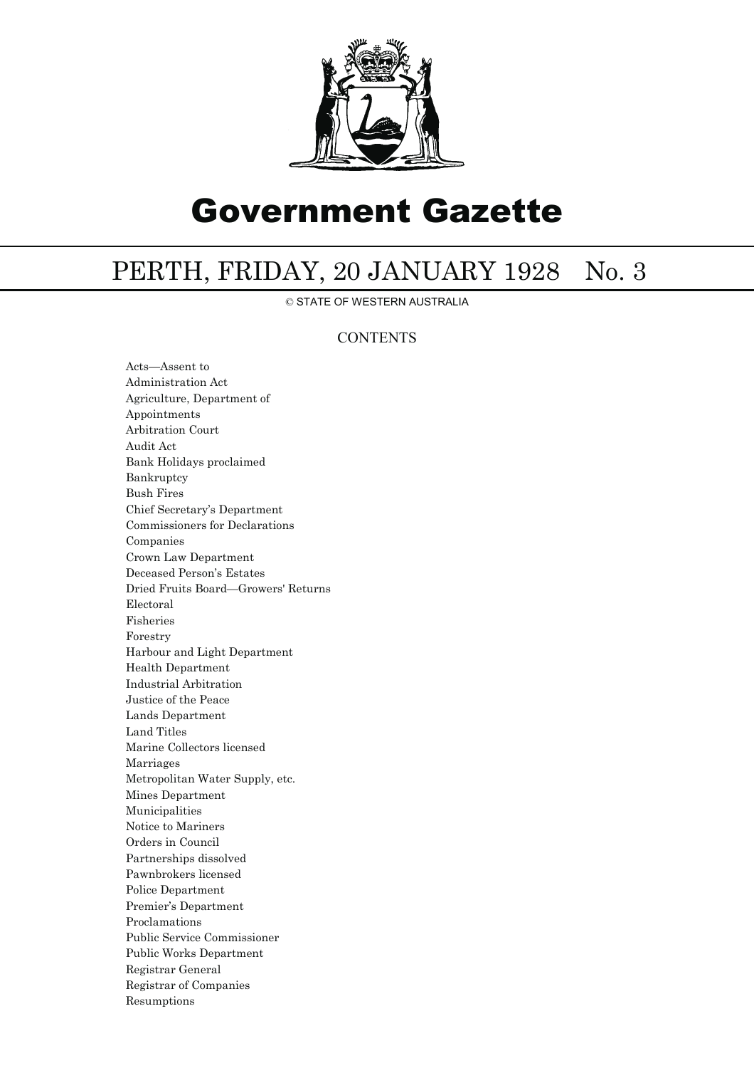

# Government Gazette

# PERTH, FRIDAY, 20 JANUARY 1928 No. 3

© STATE OF WESTERN AUSTRALIA

### **CONTENTS**

Acts—Assent to Administration Act Agriculture, Department of Appointments Arbitration Court Audit Act Bank Holidays proclaimed Bankruptcy Bush Fires Chief Secretary's Department Commissioners for Declarations Companies Crown Law Department Deceased Person's Estates Dried Fruits Board—Growers' Returns Electoral Fisheries Forestry Harbour and Light Department Health Department Industrial Arbitration Justice of the Peace Lands Department Land Titles Marine Collectors licensed Marriages Metropolitan Water Supply, etc. Mines Department Municipalities Notice to Mariners Orders in Council Partnerships dissolved Pawnbrokers licensed Police Department Premier's Department Proclamations Public Service Commissioner Public Works Department Registrar General Registrar of Companies Resumptions